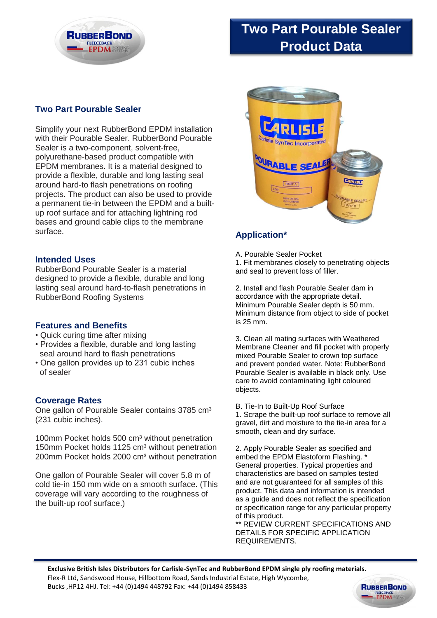

# **Two Part Pourable Sealer Product Data**

### **Two Part Pourable Sealer**

Simplify your next RubberBond EPDM installation with their Pourable Sealer. RubberBond Pourable Sealer is a two-component, solvent-free, polyurethane-based product compatible with EPDM membranes. It is a material designed to provide a flexible, durable and long lasting seal around hard-to flash penetrations on roofing projects. The product can also be used to provide a permanent tie-in between the EPDM and a builtup roof surface and for attaching lightning rod bases and ground cable clips to the membrane surface.

#### **Intended Uses**

RubberBond Pourable Sealer is a material designed to provide a flexible, durable and long lasting seal around hard-to-flash penetrations in RubberBond Roofing Systems

#### **Features and Benefits**

- Quick curing time after mixing
- Provides a flexible, durable and long lasting seal around hard to flash penetrations
- One gallon provides up to 231 cubic inches of sealer

#### **Coverage Rates**

One gallon of Pourable Sealer contains 3785 cm<sup>3</sup> (231 cubic inches).

100mm Pocket holds 500 cm<sup>3</sup> without penetration 150mm Pocket holds 1125 cm<sup>3</sup> without penetration 200mm Pocket holds 2000 cm<sup>3</sup> without penetration

One gallon of Pourable Sealer will cover 5.8 m of cold tie-in 150 mm wide on a smooth surface. (This coverage will vary according to the roughness of the built-up roof surface.)



## **Application\***

A. Pourable Sealer Pocket

1. Fit membranes closely to penetrating objects and seal to prevent loss of filler.

2. Install and flash Pourable Sealer dam in accordance with the appropriate detail. Minimum Pourable Sealer depth is 50 mm. Minimum distance from object to side of pocket is 25 mm.

3. Clean all mating surfaces with Weathered Membrane Cleaner and fill pocket with properly mixed Pourable Sealer to crown top surface and prevent ponded water. Note: RubberBond Pourable Sealer is available in black only. Use care to avoid contaminating light coloured objects.

B. Tie-In to Built-Up Roof Surface 1. Scrape the built-up roof surface to remove all gravel, dirt and moisture to the tie-in area for a smooth, clean and dry surface.

2. Apply Pourable Sealer as specified and embed the EPDM Elastoform Flashing. \* General properties. Typical properties and characteristics are based on samples tested and are not guaranteed for all samples of this product. This data and information is intended as a guide and does not reflect the specification or specification range for any particular property of this product.

\*\* REVIEW CURRENT SPECIFICATIONS AND DETAILS FOR SPECIFIC APPLICATION REQUIREMENTS.